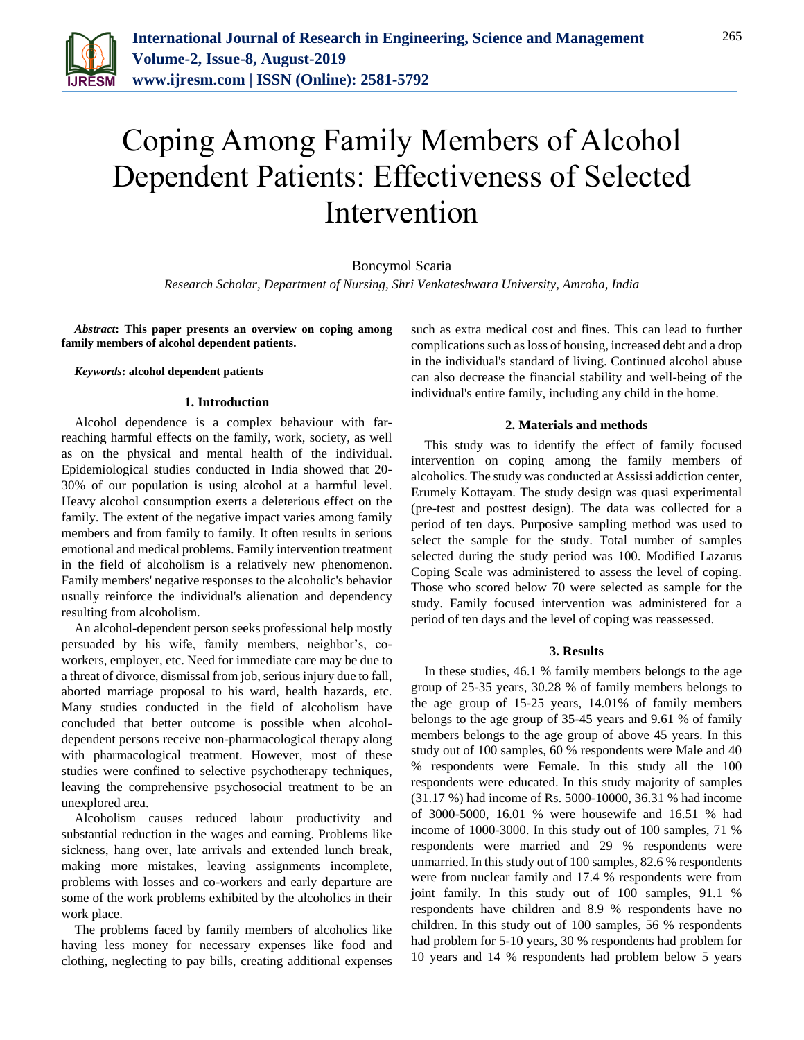

# Coping Among Family Members of Alcohol Dependent Patients: Effectiveness of Selected Intervention

Boncymol Scaria

*Research Scholar, Department of Nursing, Shri Venkateshwara University, Amroha, India*

*Abstract***: This paper presents an overview on coping among family members of alcohol dependent patients.**

#### *Keywords***: alcohol dependent patients**

## **1. Introduction**

Alcohol dependence is a complex behaviour with farreaching harmful effects on the family, work, society, as well as on the physical and mental health of the individual. Epidemiological studies conducted in India showed that 20- 30% of our population is using alcohol at a harmful level. Heavy alcohol consumption exerts a deleterious effect on the family. The extent of the negative impact varies among family members and from family to family. It often results in serious emotional and medical problems. Family intervention treatment in the field of alcoholism is a relatively new phenomenon. Family members' negative responses to the alcoholic's behavior usually reinforce the individual's alienation and dependency resulting from alcoholism.

An alcohol-dependent person seeks professional help mostly persuaded by his wife, family members, neighbor's, coworkers, employer, etc. Need for immediate care may be due to a threat of divorce, dismissal from job, serious injury due to fall, aborted marriage proposal to his ward, health hazards, etc. Many studies conducted in the field of alcoholism have concluded that better outcome is possible when alcoholdependent persons receive non-pharmacological therapy along with pharmacological treatment. However, most of these studies were confined to selective psychotherapy techniques, leaving the comprehensive psychosocial treatment to be an unexplored area.

Alcoholism causes reduced labour productivity and substantial reduction in the wages and earning. Problems like sickness, hang over, late arrivals and extended lunch break, making more mistakes, leaving assignments incomplete, problems with losses and co-workers and early departure are some of the work problems exhibited by the alcoholics in their work place.

The problems faced by family members of alcoholics like having less money for necessary expenses like food and clothing, neglecting to pay bills, creating additional expenses such as extra medical cost and fines. This can lead to further complications such as loss of housing, increased debt and a drop in the individual's standard of living. Continued alcohol abuse can also decrease the financial stability and well-being of the individual's entire family, including any child in the home.

#### **2. Materials and methods**

This study was to identify the effect of family focused intervention on coping among the family members of alcoholics. The study was conducted at Assissi addiction center, Erumely Kottayam. The study design was quasi experimental (pre-test and posttest design). The data was collected for a period of ten days. Purposive sampling method was used to select the sample for the study. Total number of samples selected during the study period was 100. Modified Lazarus Coping Scale was administered to assess the level of coping. Those who scored below 70 were selected as sample for the study. Family focused intervention was administered for a period of ten days and the level of coping was reassessed.

## **3. Results**

In these studies, 46.1 % family members belongs to the age group of 25-35 years, 30.28 % of family members belongs to the age group of 15-25 years, 14.01% of family members belongs to the age group of 35-45 years and 9.61 % of family members belongs to the age group of above 45 years. In this study out of 100 samples, 60 % respondents were Male and 40 % respondents were Female. In this study all the 100 respondents were educated. In this study majority of samples (31.17 %) had income of Rs. 5000-10000, 36.31 % had income of 3000-5000, 16.01 % were housewife and 16.51 % had income of 1000-3000. In this study out of 100 samples, 71 % respondents were married and 29 % respondents were unmarried. In this study out of 100 samples, 82.6 % respondents were from nuclear family and 17.4 % respondents were from joint family. In this study out of 100 samples, 91.1 % respondents have children and 8.9 % respondents have no children. In this study out of 100 samples, 56 % respondents had problem for 5-10 years, 30 % respondents had problem for 10 years and 14 % respondents had problem below 5 years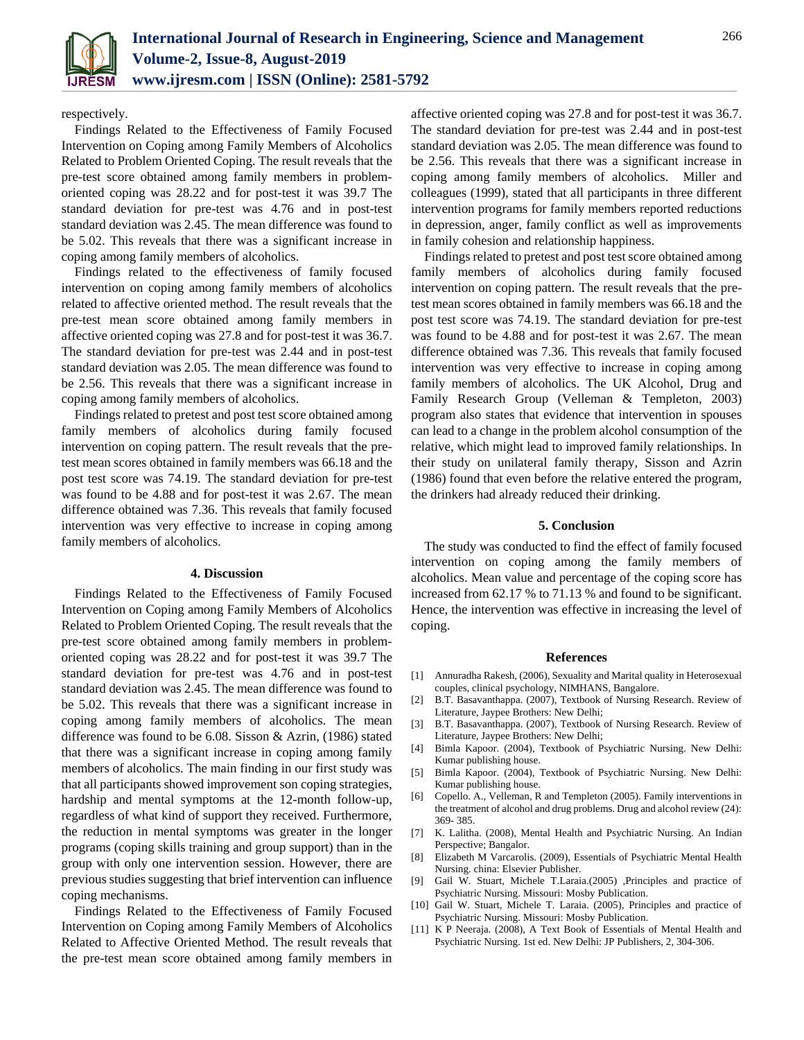

respectively.

Findings Related to the Effectiveness of Family Focused Intervention on Coping among Family Members of Alcoholics Related to Problem Oriented Coping. The result reveals that the pre-test score obtained among family members in problemoriented coping was 28.22 and for post-test it was 39.7 The standard deviation for pre-test was 4.76 and in post-test standard deviation was 2.45. The mean difference was found to be 5.02. This reveals that there was a significant increase in coping among family members of alcoholics.

Findings related to the effectiveness of family focused intervention on coping among family members of alcoholics related to affective oriented method. The result reveals that the pre-test mean score obtained among family members in affective oriented coping was 27.8 and for post-test it was 36.7. The standard deviation for pre-test was 2.44 and in post-test standard deviation was 2.05. The mean difference was found to be 2.56. This reveals that there was a significant increase in coping among family members of alcoholics.

Findings related to pretest and post test score obtained among family members of alcoholics during family focused intervention on coping pattern. The result reveals that the pretest mean scores obtained in family members was 66.18 and the post test score was 74.19. The standard deviation for pre-test was found to be 4.88 and for post-test it was 2.67. The mean difference obtained was 7.36. This reveals that family focused intervention was very effective to increase in coping among family members of alcoholics.

#### **4. Discussion**

Findings Related to the Effectiveness of Family Focused Intervention on Coping among Family Members of Alcoholics Related to Problem Oriented Coping. The result reveals that the pre-test score obtained among family members in problemoriented coping was 28.22 and for post-test it was 39.7 The standard deviation for pre-test was 4.76 and in post-test standard deviation was 2.45. The mean difference was found to be 5.02. This reveals that there was a significant increase in coping among family members of alcoholics. The mean difference was found to be 6.08. Sisson & Azrin, (1986) stated that there was a significant increase in coping among family members of alcoholics. The main finding in our first study was that all participants showed improvement son coping strategies, hardship and mental symptoms at the 12-month follow-up, regardless of what kind of support they received. Furthermore, the reduction in mental symptoms was greater in the longer programs (coping skills training and group support) than in the group with only one intervention session. However, there are previous studies suggesting that brief intervention can influence coping mechanisms.

Findings Related to the Effectiveness of Family Focused Intervention on Coping among Family Members of Alcoholics Related to Affective Oriented Method. The result reveals that the pre-test mean score obtained among family members in

affective oriented coping was 27.8 and for post-test it was 36.7. The standard deviation for pre-test was 2.44 and in post-test standard deviation was 2.05. The mean difference was found to be 2.56. This reveals that there was a significant increase in coping among family members of alcoholics. Miller and colleagues (1999), stated that all participants in three different intervention programs for family members reported reductions in depression, anger, family conflict as well as improvements in family cohesion and relationship happiness.

Findings related to pretest and post test score obtained among family members of alcoholics during family focused intervention on coping pattern. The result reveals that the pretest mean scores obtained in family members was 66.18 and the post test score was 74.19. The standard deviation for pre-test was found to be 4.88 and for post-test it was 2.67. The mean difference obtained was 7.36. This reveals that family focused intervention was very effective to increase in coping among family members of alcoholics. The UK Alcohol, Drug and Family Research Group (Velleman & Templeton, 2003) program also states that evidence that intervention in spouses can lead to a change in the problem alcohol consumption of the relative, which might lead to improved family relationships. In their study on unilateral family therapy, Sisson and Azrin (1986) found that even before the relative entered the program, the drinkers had already reduced their drinking.

## **5. Conclusion**

The study was conducted to find the effect of family focused intervention on coping among the family members of alcoholics. Mean value and percentage of the coping score has increased from 62.17 % to 71.13 % and found to be significant. Hence, the intervention was effective in increasing the level of coping.

#### **References**

- [1] Annuradha Rakesh, (2006), Sexuality and Marital quality in Heterosexual couples, clinical psychology, NIMHANS, Bangalore.
- [2] B.T. Basavanthappa. (2007), Textbook of Nursing Research. Review of Literature, Jaypee Brothers: New Delhi;
- [3] B.T. Basavanthappa. (2007), Textbook of Nursing Research. Review of Literature, Jaypee Brothers: New Delhi;
- [4] Bimla Kapoor. (2004), Textbook of Psychiatric Nursing. New Delhi: Kumar publishing house.
- [5] Bimla Kapoor. (2004), Textbook of Psychiatric Nursing. New Delhi: Kumar publishing house.
- [6] Copello. A., Velleman, R and Templeton (2005). Family interventions in the treatment of alcohol and drug problems. Drug and alcohol review (24): 369- 385.
- [7] K. Lalitha. (2008), Mental Health and Psychiatric Nursing. An Indian Perspective; Bangalor.
- [8] Elizabeth M Varcarolis. (2009), Essentials of Psychiatric Mental Health Nursing. china: Elsevier Publisher.
- [9] Gail W. Stuart, Michele T.Laraia.(2005) ,Principles and practice of Psychiatric Nursing. Missouri: Mosby Publication.
- [10] Gail W. Stuart, Michele T. Laraia. (2005), Principles and practice of Psychiatric Nursing. Missouri: Mosby Publication.
- [11] K P Neeraja. (2008), A Text Book of Essentials of Mental Health and Psychiatric Nursing. 1st ed. New Delhi: JP Publishers, 2, 304-306.